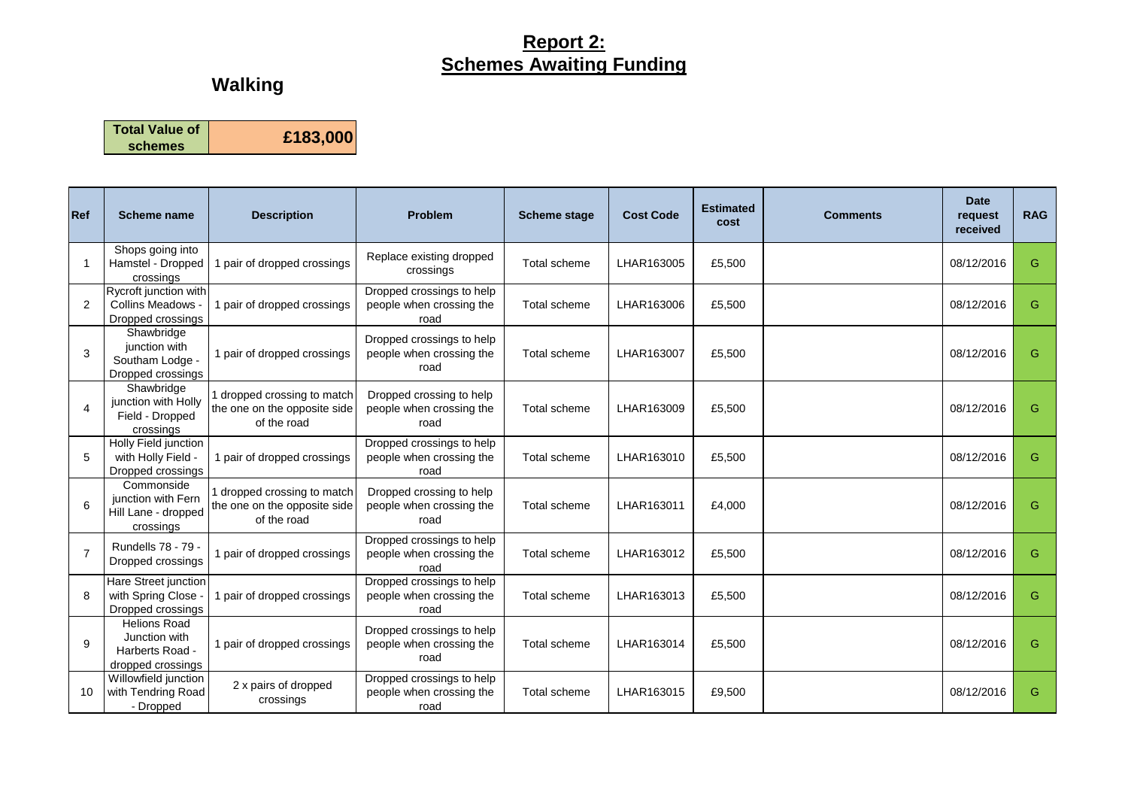### **Report 2: Schemes Awaiting Funding**

# **Walking**

**Total Value of schemes £183,000**

| Ref            | Scheme name                                                                  | <b>Description</b>                                                         | Problem                                                       | <b>Scheme stage</b> | <b>Cost Code</b> | <b>Estimated</b><br>cost | <b>Comments</b> | <b>Date</b><br>request<br>received | <b>RAG</b> |
|----------------|------------------------------------------------------------------------------|----------------------------------------------------------------------------|---------------------------------------------------------------|---------------------|------------------|--------------------------|-----------------|------------------------------------|------------|
|                | Shops going into<br>Hamstel - Dropped<br>crossings                           | 1 pair of dropped crossings                                                | Replace existing dropped<br>crossings                         | Total scheme        | LHAR163005       | £5,500                   |                 | 08/12/2016                         | G          |
| $\overline{2}$ | Rycroft junction with<br><b>Collins Meadows</b><br>Dropped crossings         | 1 pair of dropped crossings                                                | Dropped crossings to help<br>people when crossing the<br>road | Total scheme        | LHAR163006       | £5,500                   |                 | 08/12/2016                         | G          |
| 3              | Shawbridge<br>junction with<br>Southam Lodge -<br>Dropped crossings          | 1 pair of dropped crossings                                                | Dropped crossings to help<br>people when crossing the<br>road | Total scheme        | LHAR163007       | £5,500                   |                 | 08/12/2016                         | G          |
|                | Shawbridge<br>junction with Holly<br>Field - Dropped<br>crossings            | dropped crossing to match<br>the one on the opposite side<br>of the road   | Dropped crossing to help<br>people when crossing the<br>road  | Total scheme        | LHAR163009       | £5.500                   |                 | 08/12/2016                         | G          |
| 5              | Holly Field junction<br>with Holly Field -<br>Dropped crossings              | 1 pair of dropped crossings                                                | Dropped crossings to help<br>people when crossing the<br>road | Total scheme        | LHAR163010       | £5,500                   |                 | 08/12/2016                         | G          |
| 6              | Commonside<br>junction with Fern<br>Hill Lane - dropped<br>crossings         | I dropped crossing to match<br>the one on the opposite side<br>of the road | Dropped crossing to help<br>people when crossing the<br>road  | Total scheme        | LHAR163011       | £4,000                   |                 | 08/12/2016                         | G          |
| $\overline{7}$ | Rundells 78 - 79 -<br>Dropped crossings                                      | 1 pair of dropped crossings                                                | Dropped crossings to help<br>people when crossing the<br>road | Total scheme        | LHAR163012       | £5,500                   |                 | 08/12/2016                         | G          |
| 8              | Hare Street junction<br>with Spring Close<br>Dropped crossings               | 1 pair of dropped crossings                                                | Dropped crossings to help<br>people when crossing the<br>road | Total scheme        | LHAR163013       | £5.500                   |                 | 08/12/2016                         | G          |
| 9              | <b>Helions Road</b><br>Junction with<br>Harberts Road -<br>dropped crossings | 1 pair of dropped crossings                                                | Dropped crossings to help<br>people when crossing the<br>road | Total scheme        | LHAR163014       | £5,500                   |                 | 08/12/2016                         | G          |
| 10             | Willowfield junction<br>with Tendring Road<br>- Dropped                      | 2 x pairs of dropped<br>crossings                                          | Dropped crossings to help<br>people when crossing the<br>road | Total scheme        | LHAR163015       | £9,500                   |                 | 08/12/2016                         | G          |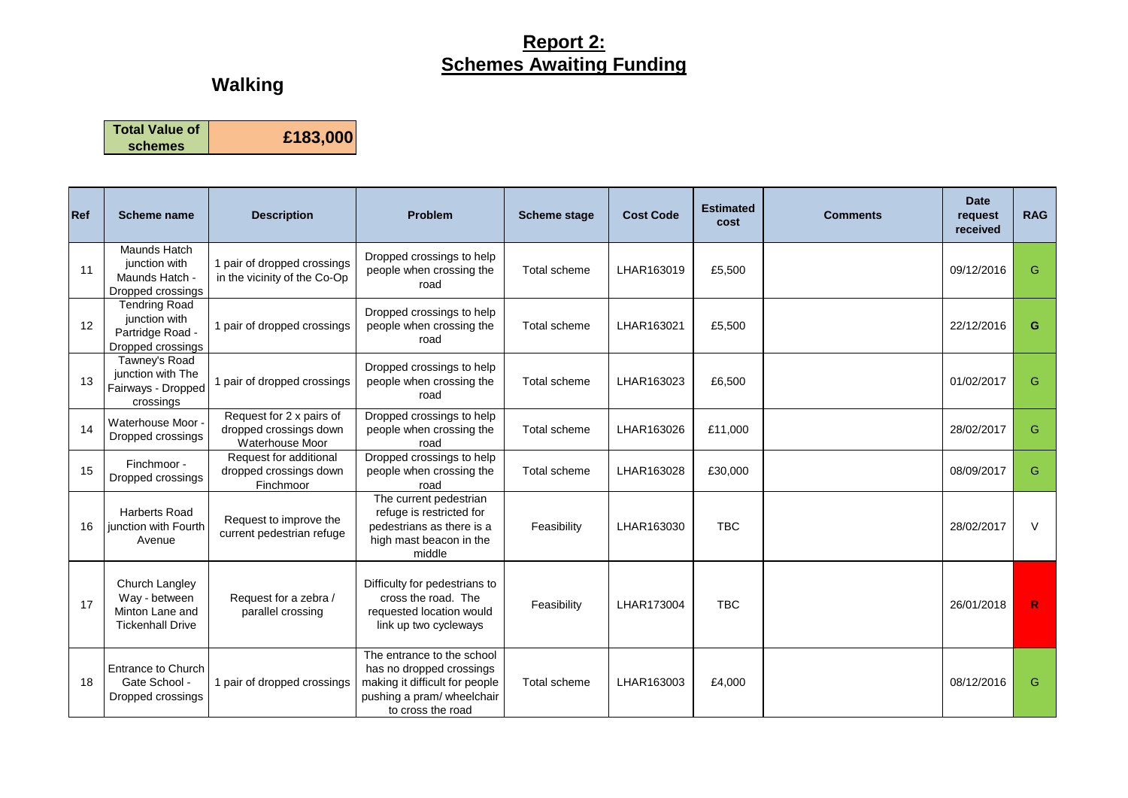### **Report 2: Schemes Awaiting Funding**

# **Walking**

**Total Value of** 

**schemes £183,000**

| Ref | <b>Scheme name</b>                                                             | <b>Description</b>                                                    | Problem                                                                                                                                     | <b>Scheme stage</b> | <b>Cost Code</b> | <b>Estimated</b><br>cost | <b>Comments</b> | <b>Date</b><br>request<br>received | <b>RAG</b> |
|-----|--------------------------------------------------------------------------------|-----------------------------------------------------------------------|---------------------------------------------------------------------------------------------------------------------------------------------|---------------------|------------------|--------------------------|-----------------|------------------------------------|------------|
| 11  | <b>Maunds Hatch</b><br>junction with<br>Maunds Hatch -<br>Dropped crossings    | 1 pair of dropped crossings<br>in the vicinity of the Co-Op           | Dropped crossings to help<br>people when crossing the<br>road                                                                               | Total scheme        | LHAR163019       | £5,500                   |                 | 09/12/2016                         | G          |
| 12  | <b>Tendring Road</b><br>junction with<br>Partridge Road -<br>Dropped crossings | 1 pair of dropped crossings                                           | Dropped crossings to help<br>people when crossing the<br>road                                                                               | Total scheme        | LHAR163021       | £5,500                   |                 | 22/12/2016                         | G          |
| 13  | Tawney's Road<br>junction with The<br>Fairways - Dropped<br>crossings          | 1 pair of dropped crossings                                           | Dropped crossings to help<br>people when crossing the<br>road                                                                               | Total scheme        | LHAR163023       | £6,500                   |                 | 01/02/2017                         | G          |
| 14  | Waterhouse Moor -<br>Dropped crossings                                         | Request for 2 x pairs of<br>dropped crossings down<br>Waterhouse Moor | Dropped crossings to help<br>people when crossing the<br>road                                                                               | Total scheme        | LHAR163026       | £11,000                  |                 | 28/02/2017                         | G          |
| 15  | Finchmoor -<br>Dropped crossings                                               | Request for additional<br>dropped crossings down<br>Finchmoor         | Dropped crossings to help<br>people when crossing the<br>road                                                                               | Total scheme        | LHAR163028       | £30,000                  |                 | 08/09/2017                         | G          |
| 16  | <b>Harberts Road</b><br>junction with Fourth<br>Avenue                         | Request to improve the<br>current pedestrian refuge                   | The current pedestrian<br>refuge is restricted for<br>pedestrians as there is a<br>high mast beacon in the<br>middle                        | Feasibility         | LHAR163030       | <b>TBC</b>               |                 | 28/02/2017                         | $\vee$     |
| 17  | Church Langley<br>Way - between<br>Minton Lane and<br><b>Tickenhall Drive</b>  | Request for a zebra /<br>parallel crossing                            | Difficulty for pedestrians to<br>cross the road. The<br>requested location would<br>link up two cycleways                                   | Feasibility         | LHAR173004       | <b>TBC</b>               |                 | 26/01/2018                         | R          |
| 18  | <b>Entrance to Church</b><br>Gate School -<br>Dropped crossings                | 1 pair of dropped crossings                                           | The entrance to the school<br>has no dropped crossings<br>making it difficult for people<br>pushing a pram/ wheelchair<br>to cross the road | Total scheme        | LHAR163003       | £4,000                   |                 | 08/12/2016                         | G          |